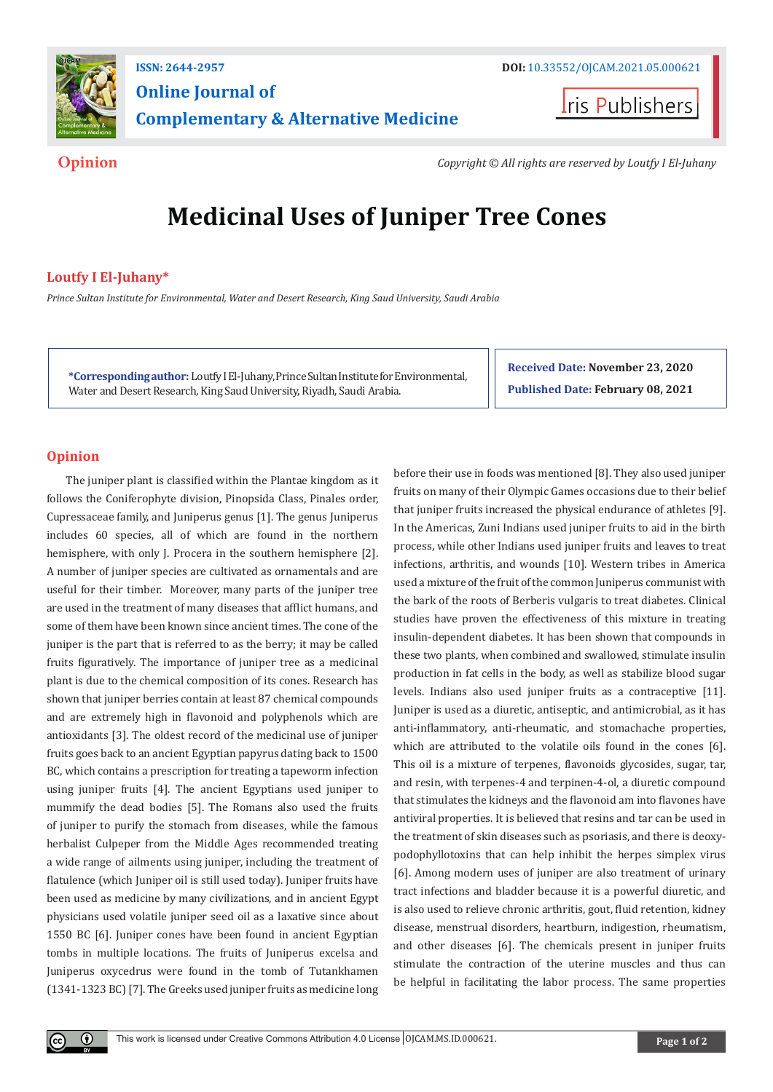

# **Online Journal of Complementary & Alternative Medicine**

**Iris Publishers** 

**Opinion** *Copyright © All rights are reserved by Loutfy I El-Juhany*

# **Medicinal Uses of Juniper Tree Cones**

# **Loutfy I El-Juhany\***

*Prince Sultan Institute for Environmental, Water and Desert Research, King Saud University, Saudi Arabia*

**\*Corresponding author:** Loutfy I El-Juhany, Prince Sultan Institute for Environmental, Water and Desert Research, King Saud University, Riyadh, Saudi Arabia.

**Received Date: November 23, 2020 Published Date: February 08, 2021**

## **Opinion**

The juniper plant is classified within the Plantae kingdom as it follows the Coniferophyte division, Pinopsida Class, Pinales order, Cupressaceae family, and Juniperus genus [1]. The genus Juniperus includes 60 species, all of which are found in the northern hemisphere, with only J. Procera in the southern hemisphere [2]. A number of juniper species are cultivated as ornamentals and are useful for their timber. Moreover, many parts of the juniper tree are used in the treatment of many diseases that afflict humans, and some of them have been known since ancient times. The cone of the juniper is the part that is referred to as the berry; it may be called fruits figuratively. The importance of juniper tree as a medicinal plant is due to the chemical composition of its cones. Research has shown that juniper berries contain at least 87 chemical compounds and are extremely high in flavonoid and polyphenols which are antioxidants [3]. The oldest record of the medicinal use of juniper fruits goes back to an ancient Egyptian papyrus dating back to 1500 BC, which contains a prescription for treating a tapeworm infection using juniper fruits [4]. The ancient Egyptians used juniper to mummify the dead bodies [5]. The Romans also used the fruits of juniper to purify the stomach from diseases, while the famous herbalist Culpeper from the Middle Ages recommended treating a wide range of ailments using juniper, including the treatment of flatulence (which Juniper oil is still used today). Juniper fruits have been used as medicine by many civilizations, and in ancient Egypt physicians used volatile juniper seed oil as a laxative since about 1550 BC [6]. Juniper cones have been found in ancient Egyptian tombs in multiple locations. The fruits of Juniperus excelsa and Juniperus oxycedrus were found in the tomb of Tutankhamen (1341-1323 BC) [7]. The Greeks used juniper fruits as medicine long before their use in foods was mentioned [8]. They also used juniper fruits on many of their Olympic Games occasions due to their belief that juniper fruits increased the physical endurance of athletes [9]. In the Americas, Zuni Indians used juniper fruits to aid in the birth process, while other Indians used juniper fruits and leaves to treat infections, arthritis, and wounds [10]. Western tribes in America used a mixture of the fruit of the common Juniperus communist with the bark of the roots of Berberis vulgaris to treat diabetes. Clinical studies have proven the effectiveness of this mixture in treating insulin-dependent diabetes. It has been shown that compounds in these two plants, when combined and swallowed, stimulate insulin production in fat cells in the body, as well as stabilize blood sugar levels. Indians also used juniper fruits as a contraceptive [11]. Juniper is used as a diuretic, antiseptic, and antimicrobial, as it has anti-inflammatory, anti-rheumatic, and stomachache properties, which are attributed to the volatile oils found in the cones [6]. This oil is a mixture of terpenes, flavonoids glycosides, sugar, tar, and resin, with terpenes-4 and terpinen-4-ol, a diuretic compound that stimulates the kidneys and the flavonoid am into flavones have antiviral properties. It is believed that resins and tar can be used in the treatment of skin diseases such as psoriasis, and there is deoxypodophyllotoxins that can help inhibit the herpes simplex virus [6]. Among modern uses of juniper are also treatment of urinary tract infections and bladder because it is a powerful diuretic, and is also used to relieve chronic arthritis, gout, fluid retention, kidney disease, menstrual disorders, heartburn, indigestion, rheumatism, and other diseases [6]. The chemicals present in juniper fruits stimulate the contraction of the uterine muscles and thus can be helpful in facilitating the labor process. The same properties